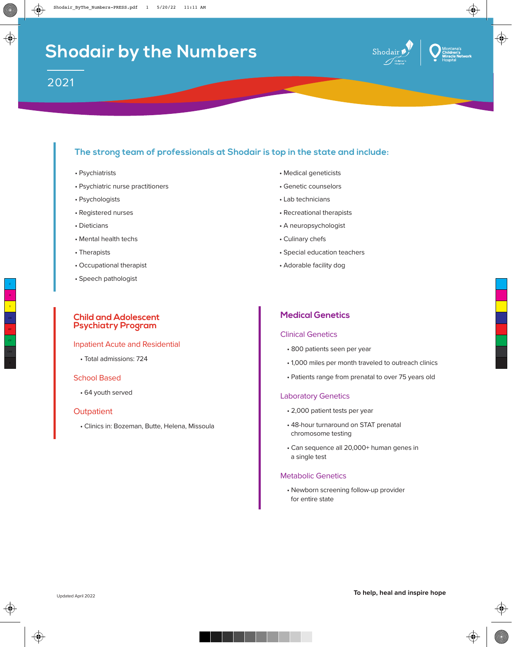

# **The strong team of professionals at Shodair is top in the state and include:**

- Psychiatrists
- Psychiatric nurse practitioners
- Psychologists
- Registered nurses
- Dieticians
- Mental health techs
- Therapists
- Occupational therapist
- Speech pathologist

### **Child and Adolescent Psychiatry Program**

#### Inpatient Acute and Residential

• Total admissions: 724

### School Based

• 64 youth served

### **Outpatient**

• Clinics in: Bozeman, Butte, Helena, Missoula

- Medical geneticists
- Genetic counselors
- Lab technicians
- Recreational therapists
- A neuropsychologist
- Culinary chefs
- Special education teachers
- Adorable facility dog

## **Medical Genetics**

### Clinical Genetics

- 800 patients seen per year
- 1,000 miles per month traveled to outreach clinics
- Patients range from prenatal to over 75 years old

### Laboratory Genetics

- 2,000 patient tests per year
- 48-hour turnaround on STAT prenatal chromosome testing
- Can sequence all 20,000+ human genes in a single test

#### Metabolic Genetics

• Newborn screening follow-up provider for entire state